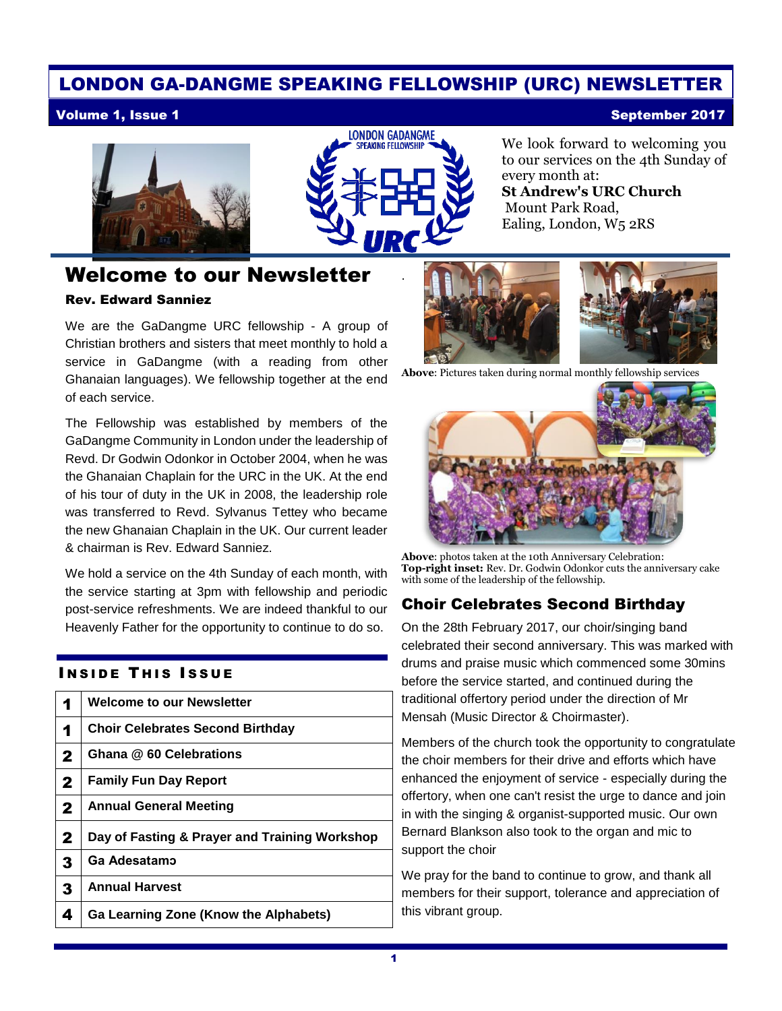#### LONDON GA-DANGME SPEAKING FELLOWSHIP (URC) NEWSLETTER

#### Volume 1, Issue 1 September 2017





.

## Welcome to our Newsletter

#### Rev. Edward Sanniez

We are the GaDangme URC fellowship - A group of Christian brothers and sisters that meet monthly to hold a service in GaDangme (with a reading from other Ghanaian languages). We fellowship together at the end of each service.

The Fellowship was established by members of the GaDangme Community in London under the leadership of Revd. Dr Godwin Odonkor in October 2004, when he was the Ghanaian Chaplain for the URC in the UK. At the end of his tour of duty in the UK in 2008, the leadership role was transferred to Revd. Sylvanus Tettey who became the new Ghanaian Chaplain in the UK. Our current leader & chairman is Rev. Edward Sanniez.

We hold a service on the 4th Sunday of each month, with the service starting at 3pm with fellowship and periodic post-service refreshments. We are indeed thankful to our Heavenly Father for the opportunity to continue to do so.

#### **INSIDE THIS ISSUE**

| 1            | <b>Welcome to our Newsletter</b>              |
|--------------|-----------------------------------------------|
| 1            | <b>Choir Celebrates Second Birthday</b>       |
| $\mathbf{2}$ | Ghana @ 60 Celebrations                       |
| $\mathbf{2}$ | <b>Family Fun Day Report</b>                  |
| $\mathbf{2}$ | <b>Annual General Meeting</b>                 |
| $\mathbf{2}$ | Day of Fasting & Prayer and Training Workshop |
| 3            | Ga Adesatamo                                  |
| 3            | <b>Annual Harvest</b>                         |
|              |                                               |

4 **Ga Learning Zone (Know the Alphabets)**

We look forward to welcoming you to our services on the 4th Sunday of every month at: **St Andrew's URC Church**

Mount Park Road, Ealing, London, W5 2RS



Above: Pictures taken during normal monthly fellowship services



Above: photos taken at the 10th Anniversary Celebration: Top-right inset: Rev. Dr. Godwin Odonkor cuts the anniversary cake with some of the leadership of the fellowship.

#### Choir Celebrates Second Birthday

On the 28th February 2017, our choir/singing band celebrated their second anniversary. This was marked with drums and praise music which commenced some 30mins before the service started, and continued during the traditional offertory period under the direction of Mr Mensah (Music Director & Choirmaster).

Members of the church took the opportunity to congratulate the choir members for their drive and efforts which have enhanced the enjoyment of service - especially during the offertory, when one can't resist the urge to dance and join in with the singing & organist-supported music. Our own Bernard Blankson also took to the organ and mic to support the choir

We pray for the band to continue to grow, and thank all members for their support, tolerance and appreciation of this vibrant group.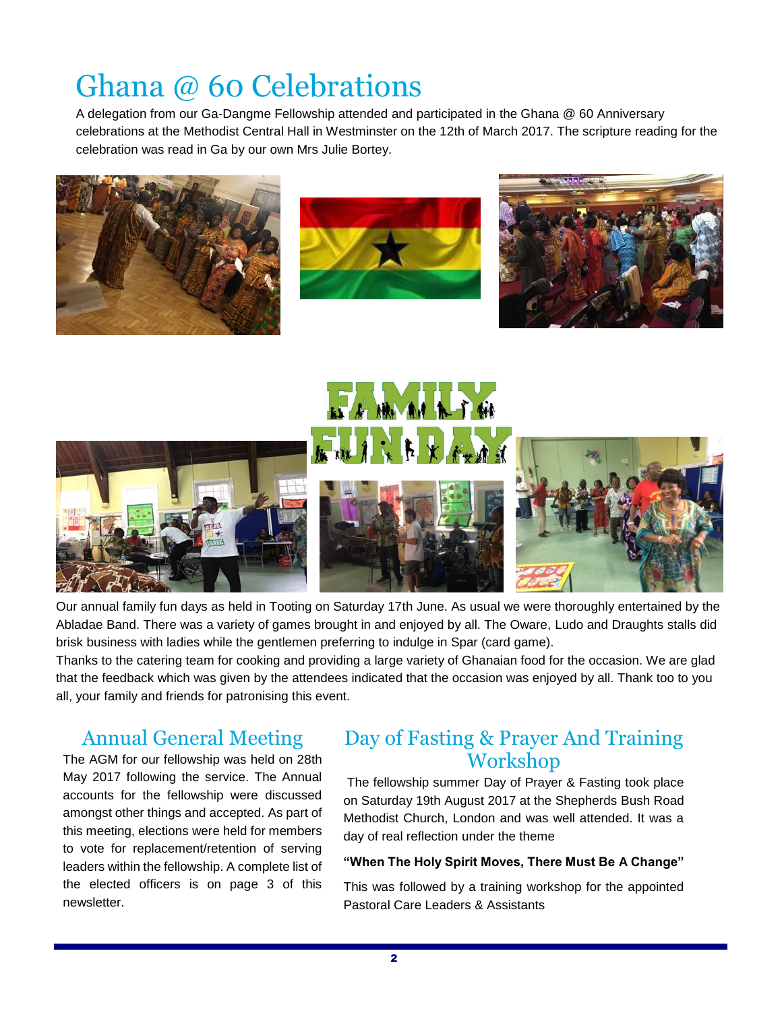# Ghana @ 60 Celebrations

A delegation from our Ga-Dangme Fellowship attended and participated in the Ghana @ 60 Anniversary celebrations at the Methodist Central Hall in Westminster on the 12th of March 2017. The scripture reading for the celebration was read in Ga by our own Mrs Julie Bortey.













Our annual family fun days as held in Tooting on Saturday 17th June. As usual we were thoroughly entertained by the Abladae Band. There was a variety of games brought in and enjoyed by all. The Oware, Ludo and Draughts stalls did brisk business with ladies while the gentlemen preferring to indulge in Spar (card game).

Thanks to the catering team for cooking and providing a large variety of Ghanaian food for the occasion. We are glad that the feedback which was given by the attendees indicated that the occasion was enjoyed by all. Thank too to you all, your family and friends for patronising this event.

### Annual General Meeting

The AGM for our fellowship was held on 28th May 2017 following the service. The Annual accounts for the fellowship were discussed amongst other things and accepted. As part of this meeting, elections were held for members to vote for replacement/retention of serving leaders within the fellowship. A complete list of the elected officers is on page 3 of this newsletter.

#### Day of Fasting & Prayer And Training Workshop

The fellowship summer Day of Prayer & Fasting took place on Saturday 19th August 2017 at the Shepherds Bush Road Methodist Church, London and was well attended. It was a day of real reflection under the theme

#### **"When The Holy Spirit Moves, There Must Be A Change"**

This was followed by a training workshop for the appointed Pastoral Care Leaders & Assistants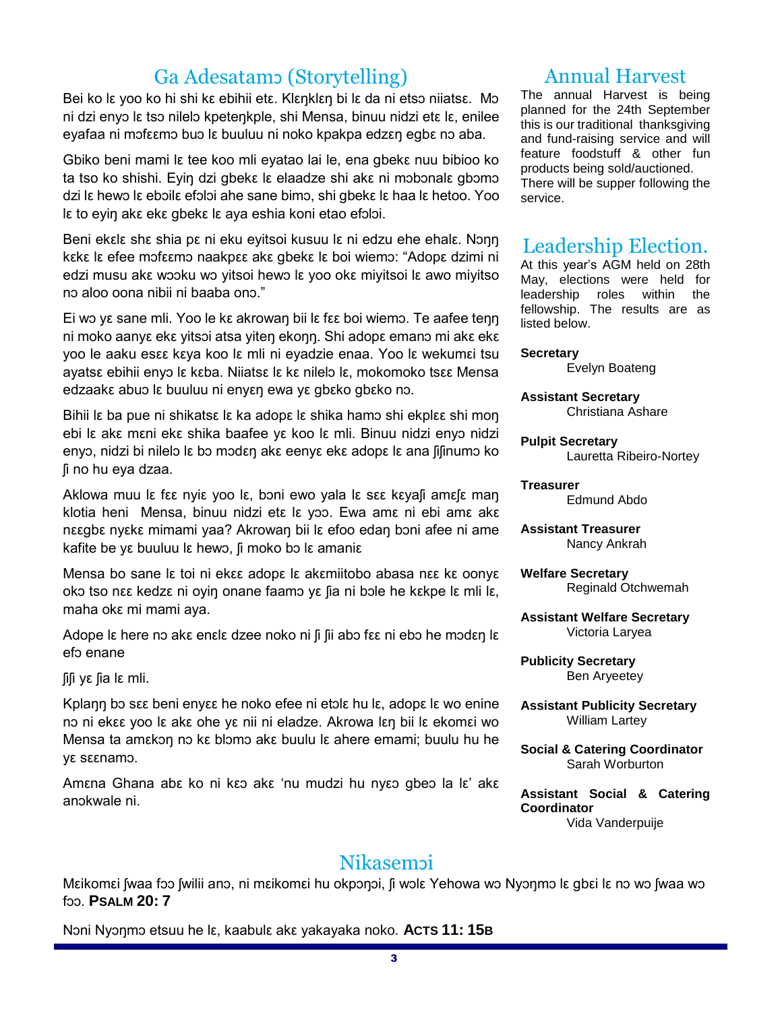## Ga Adesatamɔ (Storytelling)

Bei ko lε yoo ko hi shi kε ebihii etε. Klεŋklεŋ bi lε da ni etsɔ niiatsε. Mɔ ni dzi enyɔ lε tsɔ nilelɔ kpeteŋkple, shi Mensa, binuu nidzi etε lε, enilee eyafaa ni mɔfεεmɔ buɔ lε buuluu ni noko kpakpa edzεŋ egbε nɔ aba.

Gbiko beni mami lε tee koo mli eyatao lai le, ena gbekε nuu bibioo ko ta tso ko shishi. Eyiŋ dzi gbekε lε elaadze shi akε ni mɔbɔnalε gbɔmɔ dzi lε hewɔ lε ebɔilε efɔlɔi ahe sane bimɔ, shi gbekε lε haa lε hetoo. Yoo lε to eyiŋ akε ekε gbekε lε aya eshia koni etao efɔlɔi.

Beni ekεlε shε shia pε ni eku eyitsoi kusuu lε ni edzu ehe ehalε. Nɔŋŋ kεkε lε efee mɔfεεmɔ naakpεε akε gbekε lε boi wiemɔ: "Adopε dzimi ni edzi musu akε wɔɔku wɔ yitsoi hewɔ lε yoo okε miyitsoi lε awo miyitso nɔ aloo oona nibii ni baaba onɔ."

Ei wɔ yε sane mli. Yoo le kε akrowaŋ bii lε fεε boi wiemɔ. Te aafee teŋŋ ni moko aanyε ekε yitsɔi atsa yiteŋ ekoŋŋ. Shi adopε emanɔ mi akε ekε yoo le aaku esεε kεya koo lε mli ni eyadzie enaa. Yoo lε wekumεi tsu ayatsε ebihii enyɔ lε kεba. Niiatsε lε kε nilelɔ lε, mokomoko tsεε Mensa edzaakε abuɔ lε buuluu ni enyεŋ ewa yε gbεko gbεko nɔ.

Bihii lε ba pue ni shikatsε lε ka adopε lε shika hamo shi ekplεε shi mon ebi lε akε mεni ekε shika baafee yε koo lε mli. Binuu nidzi enyɔ nidzi enyɔ, nidzi bi nilelɔ lε bɔ mɔdεŋ akε eenyε ekε adopε lε ana ʃiʃinumɔ ko ʃi no hu eya dzaa.

Aklowa muu lε fεε nyiε yoo lε, bɔni ewo yala lε sεε kεyaʃi amεʃε maŋ klotia heni Mensa, binuu nidzi etε lε yɔɔ. Ewa amε ni ebi amε akε nεεgbε nyεkε mimami yaa? Akrowaŋ bii lε efoo edaŋ bɔni afee ni ame kafite be yε buuluu lε hewɔ, ʃi moko bɔ lε amaniε

Mensa bo sane lε toi ni ekεε adopε lε akεmiitobo abasa nεε kε oonyε okɔ tso nεε kedzε ni oyiŋ onane faamɔ yε ʃia ni bɔle he kεkpe lε mli lε, maha okε mi mami aya.

Adope lε here nɔ akε enεlε dzee noko ni ʃi ʃii abɔ fεε ni ebɔ he mɔdεŋ lε efɔ enane

ʃiʃi yε ʃia lε mli.

Kplann bo sεε beni enyεε he noko efee ni etolε hu lε, adopε lε wo enine nɔ ni ekεε yoo lε akε ohe yε nii ni eladze. Akrowa lεŋ bii lε ekomεi wo Mensa ta amεkɔŋ nɔ kε blɔmɔ akε buulu lε ahere emami; buulu hu he yε sεεnamɔ.

Amεna Ghana abε ko ni kεɔ akε 'nu mudzi hu nyεɔ gbeɔ la lε' akε anɔkwale ni.

## Annual Harvest

The annual Harvest is being planned for the 24th September this is our traditional thanksgiving and fund-raising service and will feature foodstuff & other fun products being sold/auctioned. There will be supper following the service.

#### Leadership Election.

At this year's AGM held on 28th May, elections were held for leadership roles within the fellowship. The results are as listed below.

**Secretary**

Evelyn Boateng

**Assistant Secretary** Christiana Ashare

**Pulpit Secretary** Lauretta Ribeiro-Nortey

**Treasurer** Edmund Abdo

**Assistant Treasurer** Nancy Ankrah

**Welfare Secretary** Reginald Otchwemah

**Assistant Welfare Secretary** Victoria Laryea

**Publicity Secretary** Ben Aryeetey

**Assistant Publicity Secretary** William Lartey

**Social & Catering Coordinator** Sarah Worburton

**Assistant Social & Catering Coordinator** Vida Vanderpuije

## **Nikasem**oi

Mεikomεi ʃwaa fɔɔ ʃwilii anɔ, ni mεikomεi hu okpɔŋɔi, ʃi wɔlε Yehowa wɔ Nyɔŋmɔ lε gbεi lε nɔ wɔ ʃwaa wɔ fɔɔ. **PSALM 20: 7**

Nɔni Nyɔŋmɔ etsuu he lε, kaabulε akε yakayaka noko. **ACTS 11: 15B**